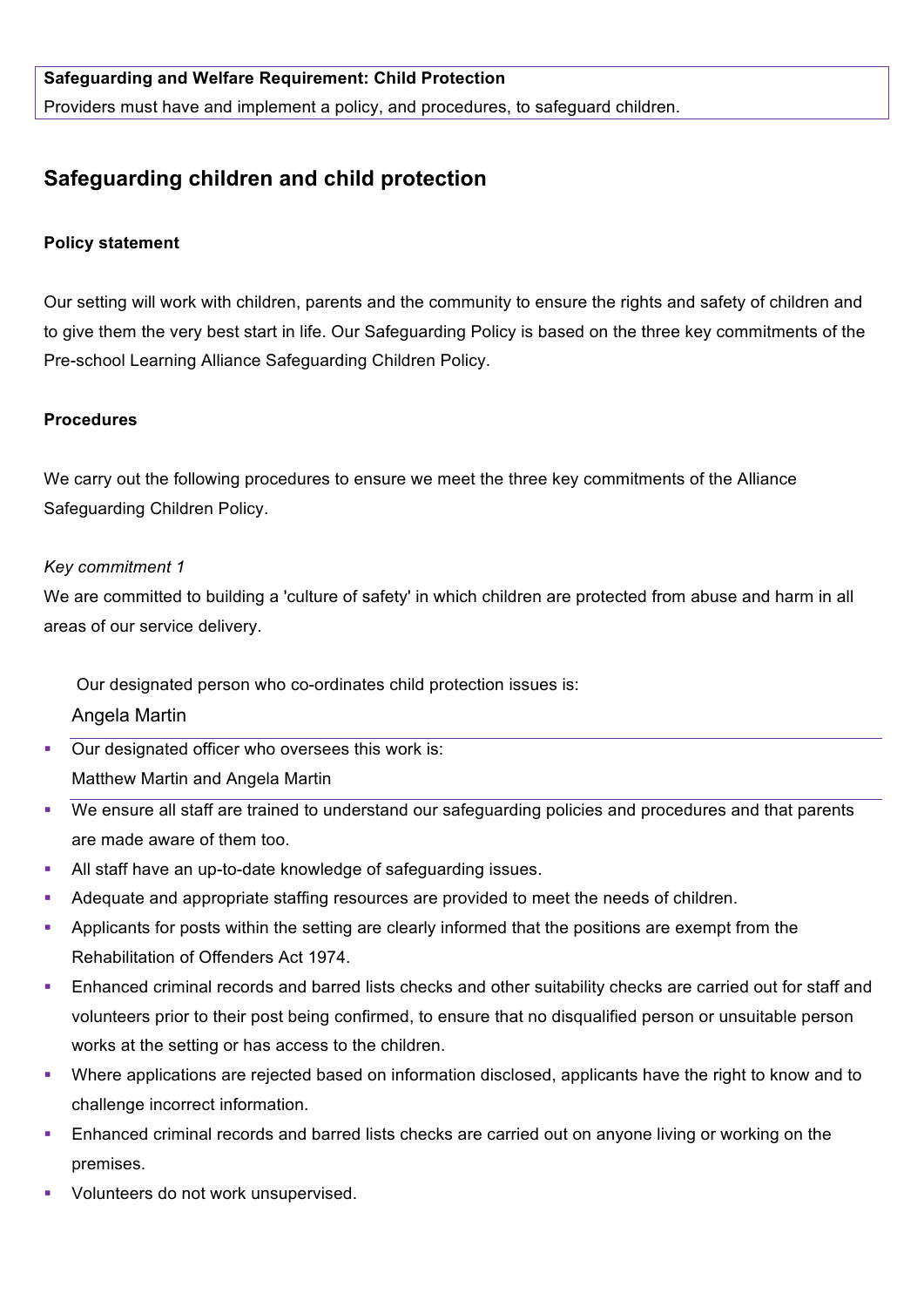### **Safeguarding and Welfare Requirement: Child Protection**

Providers must have and implement a policy, and procedures, to safeguard children.

# **Safeguarding children and child protection**

#### **Policy statement**

Our setting will work with children, parents and the community to ensure the rights and safety of children and to give them the very best start in life. Our Safeguarding Policy is based on the three key commitments of the Pre-school Learning Alliance Safeguarding Children Policy.

#### **Procedures**

We carry out the following procedures to ensure we meet the three key commitments of the Alliance Safeguarding Children Policy.

#### *Key commitment 1*

We are committed to building a 'culture of safety' in which children are protected from abuse and harm in all areas of our service delivery.

Our designated person who co-ordinates child protection issues is:

Angela Martin

■ Our designated officer who oversees this work is: Matthew Martin and Angela Martin

- We ensure all staff are trained to understand our safeguarding policies and procedures and that parents are made aware of them too.
- All staff have an up-to-date knowledge of safeguarding issues.
- Adequate and appropriate staffing resources are provided to meet the needs of children.
- § Applicants for posts within the setting are clearly informed that the positions are exempt from the Rehabilitation of Offenders Act 1974.
- Enhanced criminal records and barred lists checks and other suitability checks are carried out for staff and volunteers prior to their post being confirmed, to ensure that no disqualified person or unsuitable person works at the setting or has access to the children.
- § Where applications are rejected based on information disclosed, applicants have the right to know and to challenge incorrect information.
- **Enhanced criminal records and barred lists checks are carried out on anyone living or working on the** premises.
- § Volunteers do not work unsupervised.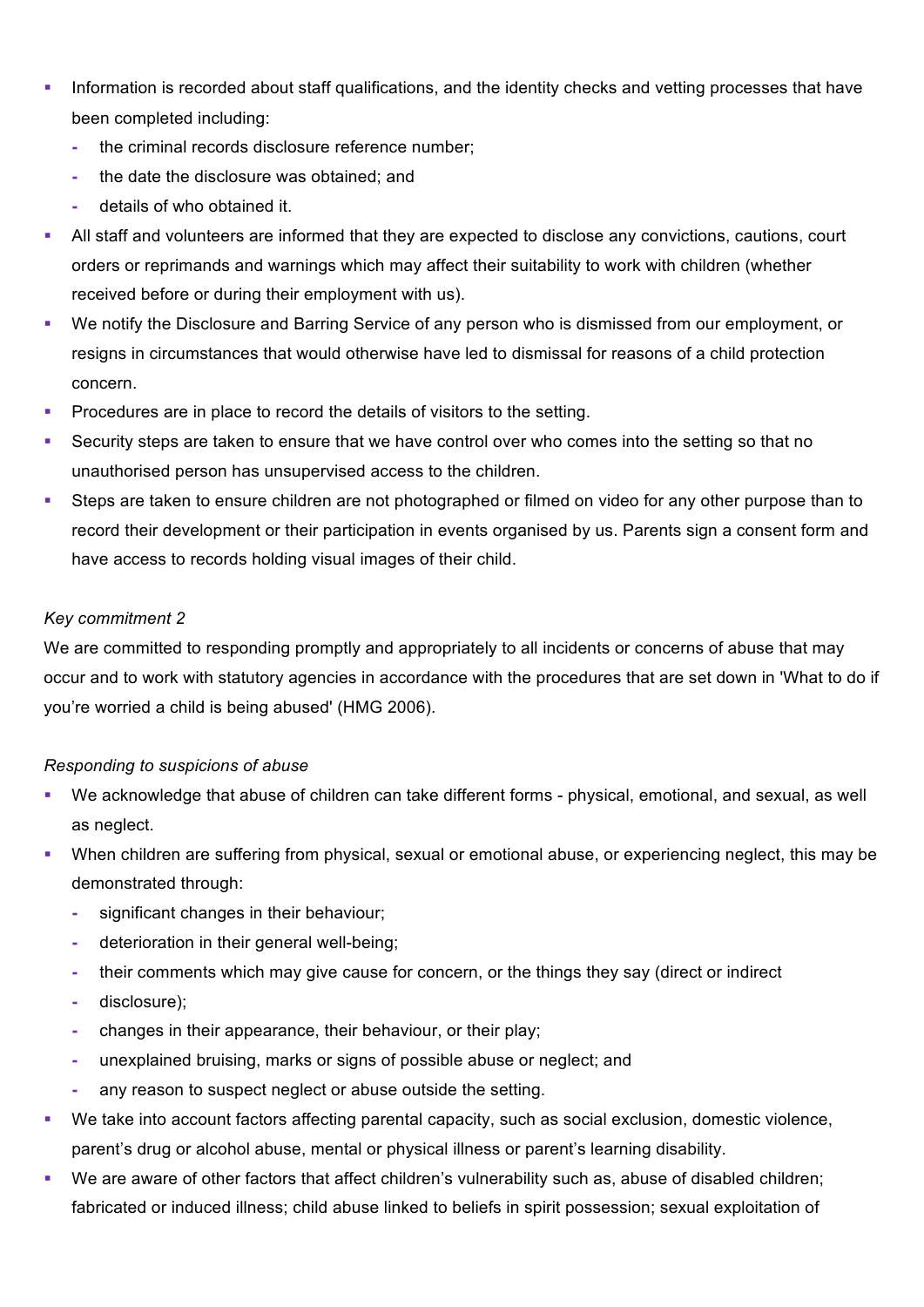- Information is recorded about staff qualifications, and the identity checks and vetting processes that have been completed including:
	- **-** the criminal records disclosure reference number;
	- **-** the date the disclosure was obtained; and
	- **-** details of who obtained it.
- All staff and volunteers are informed that they are expected to disclose any convictions, cautions, court orders or reprimands and warnings which may affect their suitability to work with children (whether received before or during their employment with us).
- We notify the Disclosure and Barring Service of any person who is dismissed from our employment, or resigns in circumstances that would otherwise have led to dismissal for reasons of a child protection concern.
- **•** Procedures are in place to record the details of visitors to the setting.
- Security steps are taken to ensure that we have control over who comes into the setting so that no unauthorised person has unsupervised access to the children.
- Steps are taken to ensure children are not photographed or filmed on video for any other purpose than to record their development or their participation in events organised by us. Parents sign a consent form and have access to records holding visual images of their child.

#### *Key commitment 2*

We are committed to responding promptly and appropriately to all incidents or concerns of abuse that may occur and to work with statutory agencies in accordance with the procedures that are set down in 'What to do if you're worried a child is being abused' (HMG 2006).

#### *Responding to suspicions of abuse*

- § We acknowledge that abuse of children can take different forms physical, emotional, and sexual, as well as neglect.
- When children are suffering from physical, sexual or emotional abuse, or experiencing neglect, this may be demonstrated through:
	- **-** significant changes in their behaviour;
	- **-** deterioration in their general well-being;
	- **-** their comments which may give cause for concern, or the things they say (direct or indirect
	- **-** disclosure);
	- **-** changes in their appearance, their behaviour, or their play;
	- **-** unexplained bruising, marks or signs of possible abuse or neglect; and
	- **-** any reason to suspect neglect or abuse outside the setting.
- We take into account factors affecting parental capacity, such as social exclusion, domestic violence, parent's drug or alcohol abuse, mental or physical illness or parent's learning disability.
- § We are aware of other factors that affect children's vulnerability such as, abuse of disabled children; fabricated or induced illness; child abuse linked to beliefs in spirit possession; sexual exploitation of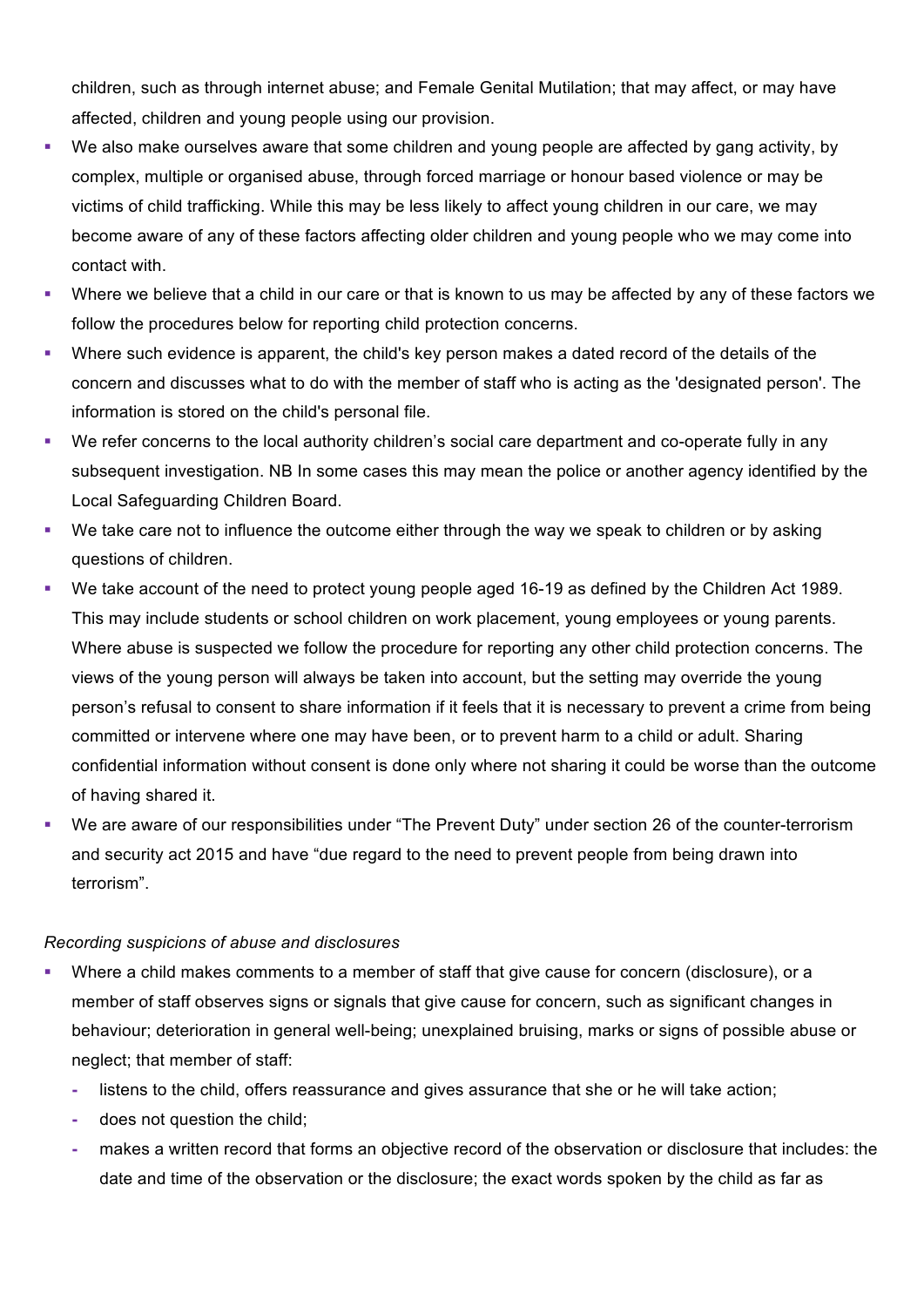children, such as through internet abuse; and Female Genital Mutilation; that may affect, or may have affected, children and young people using our provision.

- We also make ourselves aware that some children and young people are affected by gang activity, by complex, multiple or organised abuse, through forced marriage or honour based violence or may be victims of child trafficking. While this may be less likely to affect young children in our care, we may become aware of any of these factors affecting older children and young people who we may come into contact with.
- Where we believe that a child in our care or that is known to us may be affected by any of these factors we follow the procedures below for reporting child protection concerns.
- Where such evidence is apparent, the child's key person makes a dated record of the details of the concern and discusses what to do with the member of staff who is acting as the 'designated person'. The information is stored on the child's personal file.
- § We refer concerns to the local authority children's social care department and co-operate fully in any subsequent investigation. NB In some cases this may mean the police or another agency identified by the Local Safeguarding Children Board.
- We take care not to influence the outcome either through the way we speak to children or by asking questions of children.
- We take account of the need to protect young people aged 16-19 as defined by the Children Act 1989. This may include students or school children on work placement, young employees or young parents. Where abuse is suspected we follow the procedure for reporting any other child protection concerns. The views of the young person will always be taken into account, but the setting may override the young person's refusal to consent to share information if it feels that it is necessary to prevent a crime from being committed or intervene where one may have been, or to prevent harm to a child or adult. Sharing confidential information without consent is done only where not sharing it could be worse than the outcome of having shared it.
- We are aware of our responsibilities under "The Prevent Duty" under section 26 of the counter-terrorism and security act 2015 and have "due regard to the need to prevent people from being drawn into terrorism".

#### *Recording suspicions of abuse and disclosures*

- Where a child makes comments to a member of staff that give cause for concern (disclosure), or a member of staff observes signs or signals that give cause for concern, such as significant changes in behaviour; deterioration in general well-being; unexplained bruising, marks or signs of possible abuse or neglect; that member of staff:
	- **-** listens to the child, offers reassurance and gives assurance that she or he will take action;
	- **-** does not question the child;
	- **-** makes a written record that forms an objective record of the observation or disclosure that includes: the date and time of the observation or the disclosure; the exact words spoken by the child as far as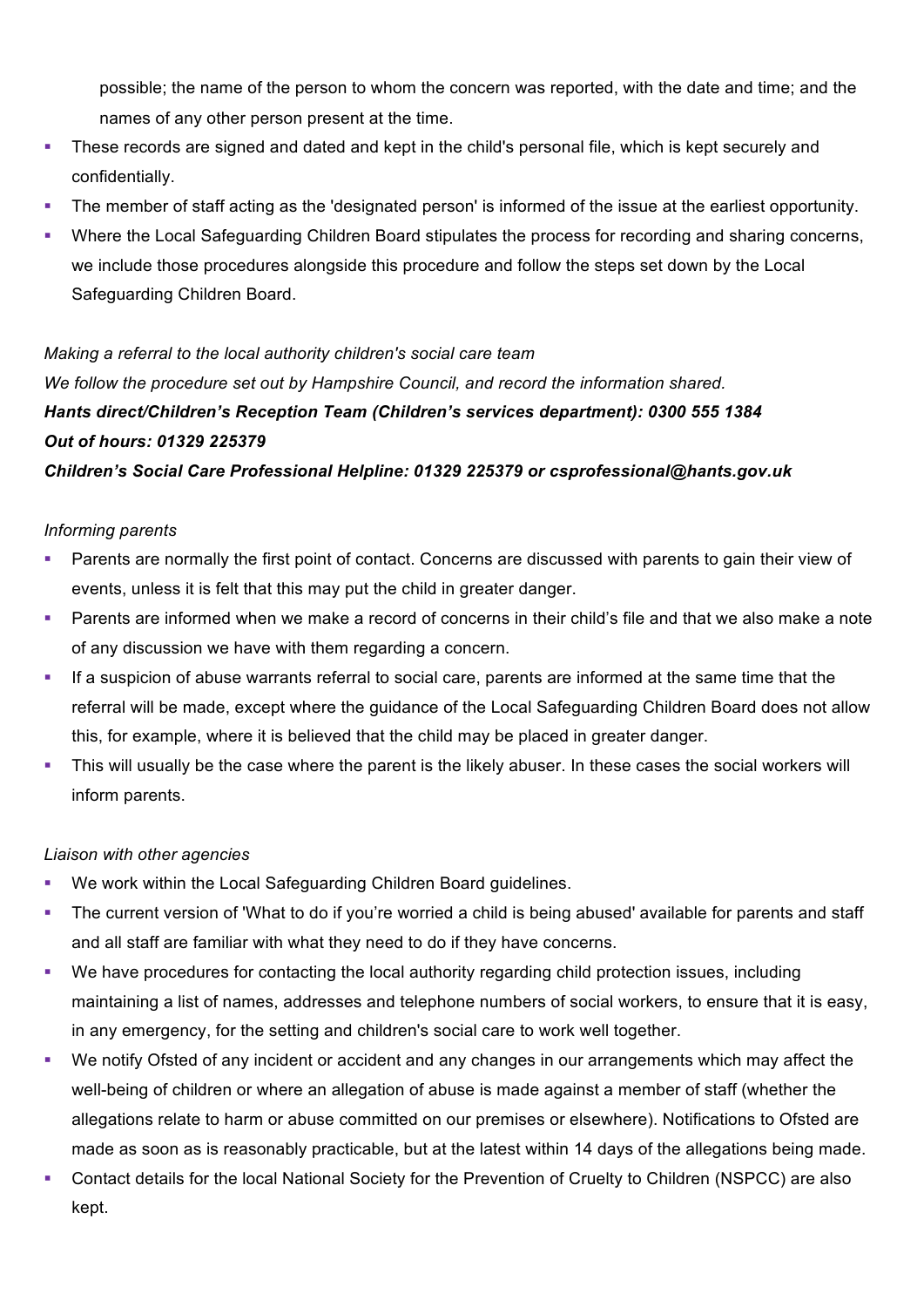possible; the name of the person to whom the concern was reported, with the date and time; and the names of any other person present at the time.

- These records are signed and dated and kept in the child's personal file, which is kept securely and confidentially.
- The member of staff acting as the 'designated person' is informed of the issue at the earliest opportunity.
- Where the Local Safeguarding Children Board stipulates the process for recording and sharing concerns, we include those procedures alongside this procedure and follow the steps set down by the Local Safeguarding Children Board.

#### *Making a referral to the local authority children's social care team*

*We follow the procedure set out by Hampshire Council, and record the information shared. Hants direct/Children's Reception Team (Children's services department): 0300 555 1384 Out of hours: 01329 225379*

# *Children's Social Care Professional Helpline: 01329 225379 or csprofessional@hants.gov.uk*

# *Informing parents*

- § Parents are normally the first point of contact. Concerns are discussed with parents to gain their view of events, unless it is felt that this may put the child in greater danger.
- § Parents are informed when we make a record of concerns in their child's file and that we also make a note of any discussion we have with them regarding a concern.
- If a suspicion of abuse warrants referral to social care, parents are informed at the same time that the referral will be made, except where the guidance of the Local Safeguarding Children Board does not allow this, for example, where it is believed that the child may be placed in greater danger.
- This will usually be the case where the parent is the likely abuser. In these cases the social workers will inform parents.

# *Liaison with other agencies*

- We work within the Local Safeguarding Children Board guidelines.
- The current version of 'What to do if you're worried a child is being abused' available for parents and staff and all staff are familiar with what they need to do if they have concerns.
- We have procedures for contacting the local authority regarding child protection issues, including maintaining a list of names, addresses and telephone numbers of social workers, to ensure that it is easy, in any emergency, for the setting and children's social care to work well together.
- We notify Ofsted of any incident or accident and any changes in our arrangements which may affect the well-being of children or where an allegation of abuse is made against a member of staff (whether the allegations relate to harm or abuse committed on our premises or elsewhere). Notifications to Ofsted are made as soon as is reasonably practicable, but at the latest within 14 days of the allegations being made.
- Contact details for the local National Society for the Prevention of Cruelty to Children (NSPCC) are also kept.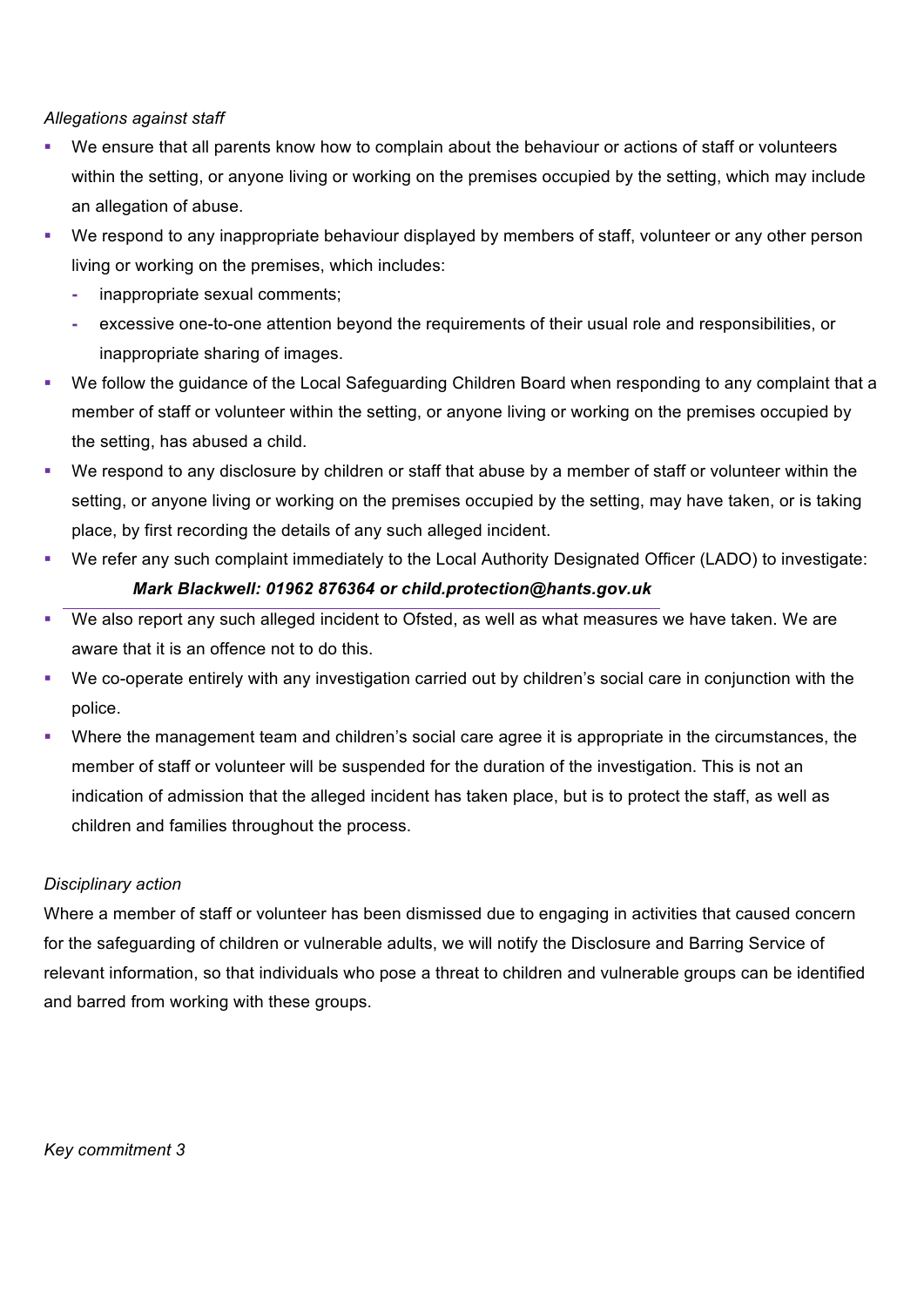#### *Allegations against staff*

- We ensure that all parents know how to complain about the behaviour or actions of staff or volunteers within the setting, or anyone living or working on the premises occupied by the setting, which may include an allegation of abuse.
- We respond to any inappropriate behaviour displayed by members of staff, volunteer or any other person living or working on the premises, which includes:
	- **-** inappropriate sexual comments;
	- **-** excessive one-to-one attention beyond the requirements of their usual role and responsibilities, or inappropriate sharing of images.
- We follow the guidance of the Local Safeguarding Children Board when responding to any complaint that a member of staff or volunteer within the setting, or anyone living or working on the premises occupied by the setting, has abused a child.
- We respond to any disclosure by children or staff that abuse by a member of staff or volunteer within the setting, or anyone living or working on the premises occupied by the setting, may have taken, or is taking place, by first recording the details of any such alleged incident.
- § We refer any such complaint immediately to the Local Authority Designated Officer (LADO) to investigate: *Mark Blackwell: 01962 876364 or child.protection@hants.gov.uk*
- We also report any such alleged incident to Ofsted, as well as what measures we have taken. We are aware that it is an offence not to do this.
- § We co-operate entirely with any investigation carried out by children's social care in conjunction with the police.
- Where the management team and children's social care agree it is appropriate in the circumstances, the member of staff or volunteer will be suspended for the duration of the investigation. This is not an indication of admission that the alleged incident has taken place, but is to protect the staff, as well as children and families throughout the process.

#### *Disciplinary action*

Where a member of staff or volunteer has been dismissed due to engaging in activities that caused concern for the safeguarding of children or vulnerable adults, we will notify the Disclosure and Barring Service of relevant information, so that individuals who pose a threat to children and vulnerable groups can be identified and barred from working with these groups.

#### *Key commitment 3*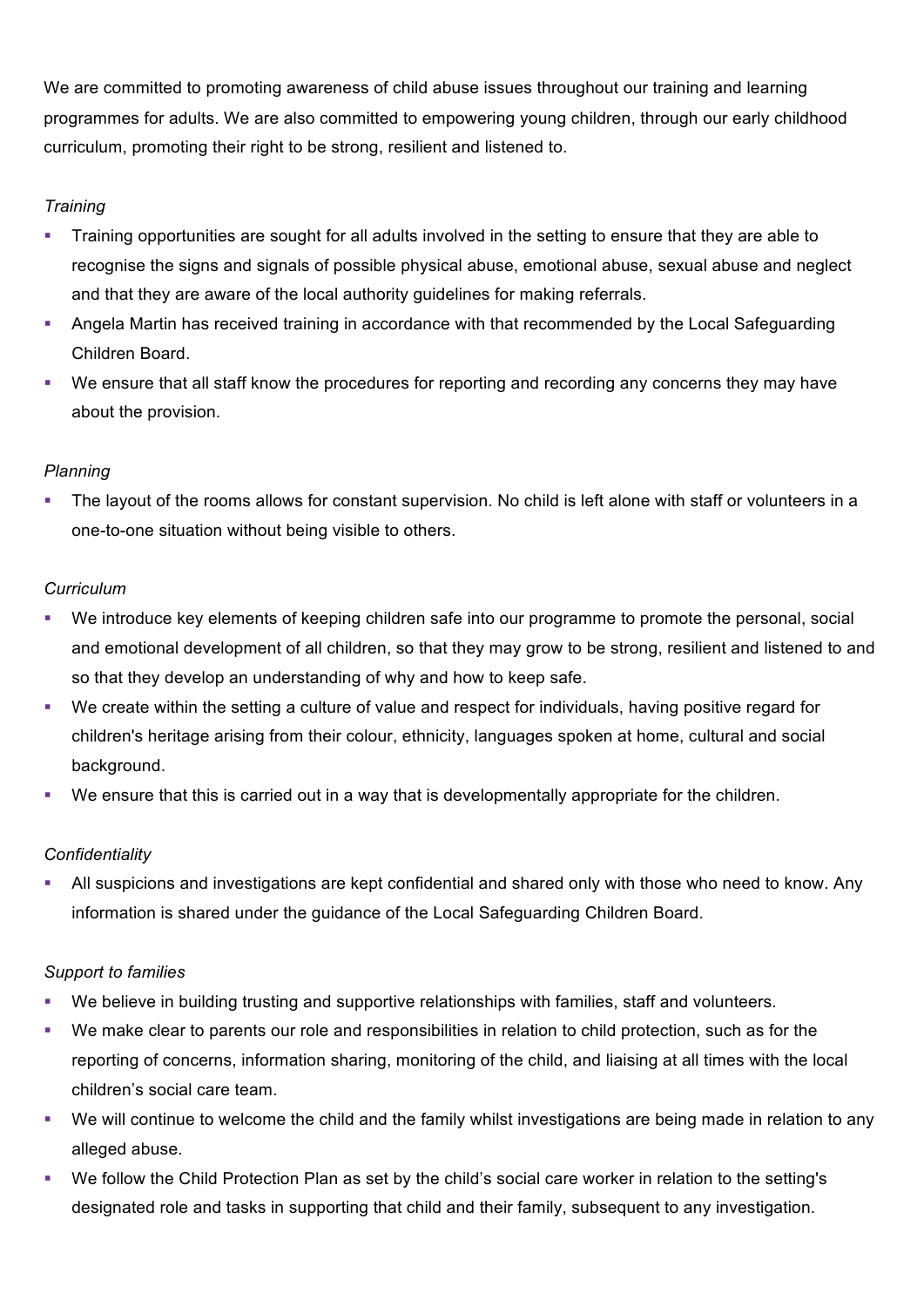We are committed to promoting awareness of child abuse issues throughout our training and learning programmes for adults. We are also committed to empowering young children, through our early childhood curriculum, promoting their right to be strong, resilient and listened to.

# *Training*

- Training opportunities are sought for all adults involved in the setting to ensure that they are able to recognise the signs and signals of possible physical abuse, emotional abuse, sexual abuse and neglect and that they are aware of the local authority guidelines for making referrals.
- Angela Martin has received training in accordance with that recommended by the Local Safeguarding Children Board.
- We ensure that all staff know the procedures for reporting and recording any concerns they may have about the provision.

# *Planning*

The layout of the rooms allows for constant supervision. No child is left alone with staff or volunteers in a one-to-one situation without being visible to others.

# *Curriculum*

- § We introduce key elements of keeping children safe into our programme to promote the personal, social and emotional development of all children, so that they may grow to be strong, resilient and listened to and so that they develop an understanding of why and how to keep safe.
- We create within the setting a culture of value and respect for individuals, having positive regard for children's heritage arising from their colour, ethnicity, languages spoken at home, cultural and social background.
- § We ensure that this is carried out in a way that is developmentally appropriate for the children.

# *Confidentiality*

• All suspicions and investigations are kept confidential and shared only with those who need to know. Any information is shared under the guidance of the Local Safeguarding Children Board.

# *Support to families*

- We believe in building trusting and supportive relationships with families, staff and volunteers.
- § We make clear to parents our role and responsibilities in relation to child protection, such as for the reporting of concerns, information sharing, monitoring of the child, and liaising at all times with the local children's social care team.
- We will continue to welcome the child and the family whilst investigations are being made in relation to any alleged abuse.
- We follow the Child Protection Plan as set by the child's social care worker in relation to the setting's designated role and tasks in supporting that child and their family, subsequent to any investigation.